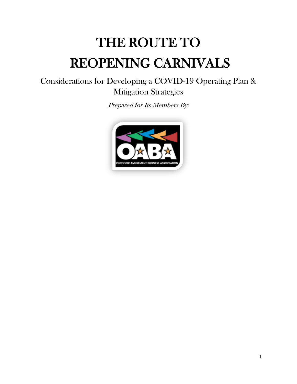# THE ROUTE TO REOPENING CARNIVALS

Considerations for Developing a COVID-19 Operating Plan & Mitigation Strategies

Prepared for Its Members By:

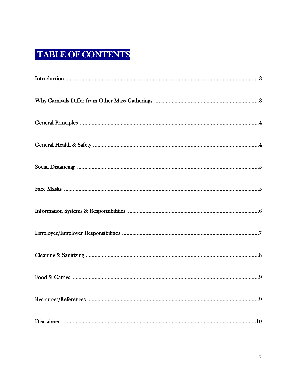## TABLE OF CONTENTS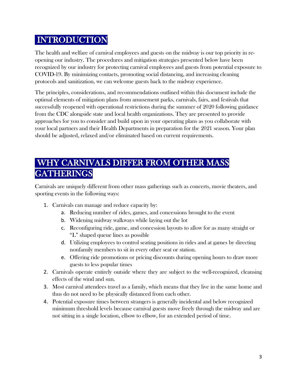### INTRODUCTION

The health and welfare of carnival employees and guests on the midway is our top priority in reopening our industry. The procedures and mitigation strategies presented below have been recognized by our industry for protecting carnival employees and guests from potential exposure to COVID-19. By minimizing contacts, promoting social distancing, and increasing cleaning protocols and sanitization, we can welcome guests back to the midway experience.

The principles, considerations, and recommendations outlined within this document include the optimal elements of mitigation plans from amusement parks, carnivals, fairs, and festivals that successfully reopened with operational restrictions during the summer of 2020 following guidance from the CDC alongside state and local health organizations. They are presented to provide approaches for you to consider and build upon in your operating plans as you collaborate with your local partners and their Health Departments in preparation for the 2021 season. Your plan should be adjusted, relaxed and/or eliminated based on current requirements.

## WHY CARNIVALS DIFFER FROM OTHER MASS **GATHERINGS**

Carnivals are uniquely different from other mass gatherings such as concerts, movie theaters, and sporting events in the following ways:

- 1. Carnivals can manage and reduce capacity by:
	- a. Reducing number of rides, games, and concessions brought to the event
	- b. Widening midway walkways while laying out the lot
	- c. Reconfiguring ride, game, and concession layouts to allow for as many straight or "L" shaped queue lines as possible
	- d. Utilizing employees to control seating positions in rides and at games by directing nonfamily members to sit in every other seat or station.
	- e. Offering ride promotions or pricing discounts during opening hours to draw more guests to less popular times
- 2. Carnivals operate entirely outside where they are subject to the well-recognized, cleansing effects of the wind and sun.
- 3. Most carnival attendees travel as a family, which means that they live in the same home and thus do not need to be physically distanced from each other.
- 4. Potential exposure times between strangers is generally incidental and below recognized minimum threshold levels because carnival guests move freely through the midway and are not sitting in a single location, elbow to elbow, for an extended period of time.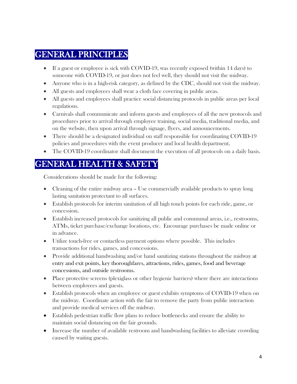#### GENERAL PRINCIPLES

- If a guest or employee is sick with COVID-19, was recently exposed (within 14 days) to someone with COVID-19, or just does not feel well, they should not visit the midway.
- Anyone who is in a high-risk category, as defined by the CDC, should not visit the midway.
- All guests and employees shall wear a cloth face covering in public areas.
- All guests and employees shall practice social distancing protocols in public areas per local regulations.
- Carnivals shall communicate and inform guests and employees of all the new protocols and procedures prior to arrival through employee training, social media, traditional media, and on the website, then upon arrival through signage, flyers, and announcements.
- There should be a designated individual on staff responsible for coordinating COVID-19 policies and procedures with the event producer and local health department.
- The COVID-19 coordinator shall document the execution of all protocols on a daily basis.

#### GENERAL HEALTH & SAFETY

Considerations should be made for the following:

- Cleaning of the entire midway area Use commercially available products to spray long lasting sanitation protectant to all surfaces.
- Establish protocols for interim sanitation of all high touch points for each ride, game, or concession.
- Establish increased protocols for sanitizing all public and communal areas, i.e., restrooms, ATMs, ticket purchase/exchange locations, etc. Encourage purchases be made online or in advance.
- Utilize touch-free or contactless payment options where possible. This includes transactions for rides, games, and concessions.
- Provide additional handwashing and/or hand sanitizing stations throughout the midway at entry and exit points, key thoroughfares, attractions, rides, games, food and beverage concessions, and outside restrooms.
- Place protective screens (plexiglass or other hygienic barriers) where there are interactions between employees and guests.
- Establish protocols when an employee or guest exhibits symptoms of COVID-19 when on the midway. Coordinate action with the fair to remove the party from public interaction and provide medical services off the midway.
- Establish pedestrian traffic flow plans to reduce bottlenecks and ensure the ability to maintain social distancing on the fair grounds.
- Increase the number of available restroom and handwashing facilities to alleviate crowding caused by waiting guests.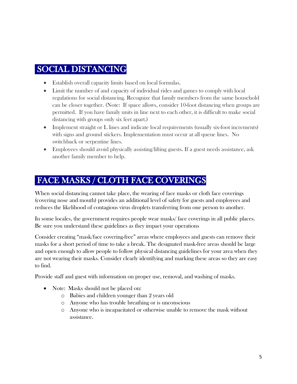#### SOCIAL DISTANCING

- Establish overall capacity limits based on local formulas.
- Limit the number of and capacity of individual rides and games to comply with local regulations for social distancing. Recognize that family members from the same household can be closer together. (Note: If space allows, consider 10-foot distancing when groups are permitted. If you have family units in line next to each other, it is difficult to make social distancing with groups only six feet apart.)
- Implement straight or L lines and indicate local requirements (usually six-foot increments) with signs and ground stickers. Implementation must occur at all queue lines. No switchback or serpentine lines.
- Employees should avoid physically assisting/lifting guests. If a guest needs assistance, ask another family member to help.

#### FACE MASKS / CLOTH FACE COVERINGS

When social distancing cannot take place, the wearing of face masks or cloth face coverings (covering nose and mouth) provides an additional level of safety for guests and employees and reduces the likelihood of contagious virus droplets transferring from one person to another.

In some locales, the government requires people wear masks/ face coverings in all public places. Be sure you understand these guidelines as they impact your operations

Consider creating "mask/face covering-free" areas where employees and guests can remove their masks for a short period of time to take a break. The designated mask-free areas should be large and open enough to allow people to follow physical distancing guidelines for your area when they are not wearing their masks. Consider clearly identifying and marking these areas so they are easy to find.

Provide staff and guest with information on proper use, removal, and washing of masks.

- Note: Masks should not be placed on:
	- o Babies and children younger than 2 years old
	- o Anyone who has trouble breathing or is unconscious
	- o Anyone who is incapacitated or otherwise unable to remove the mask without assistance.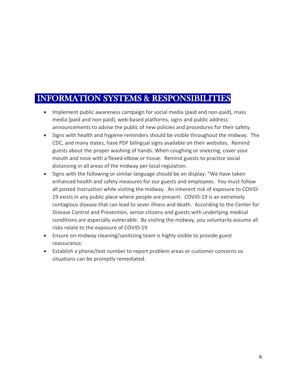#### INFORMATION SYSTEMS & RESPONSIBILITIES

- Implement public awareness campaign for social media (paid and non-paid), mass media (paid and non-paid), web-based platforms, signs and public address announcements to advise the public of new policies and procedures for their safety.
- Signs with health and hygiene reminders should be visible throughout the midway. The CDC, and many states, have PDF bilingual signs available on their websites. Remind guests about the proper washing of hands. When coughing or sneezing, cover your mouth and nose with a flexed elbow or tissue. Remind guests to practice social distancing in all areas of the midway per local regulation.
- Signs with the following or similar language should be on display: "We have taken enhanced health and safety measures for our guests and employees. You must follow all posted instruction while visiting the midway. An inherent risk of exposure to COVID-19 exists in any public place where people are present. COVID-19 is an extremely contagious disease that can lead to sever illness and death. According to the Center for Disease Control and Prevention, senior citizens and guests with underlying medical conditions are especially vulnerable. By visiting the midway, you voluntarily assume all risks relate to the exposure of COVID-19
- Ensure on-midway cleaning/sanitizing team is highly visible to provide guest reassurance.
- Establish a phone/text number to report problem areas or customer concerns so situations can be promptly remediated.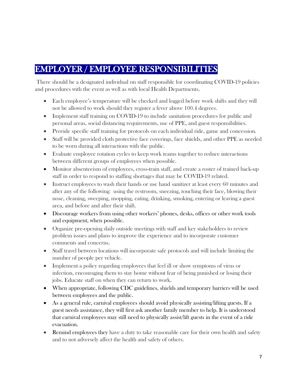#### EMPLOYER / EMPLOYEE RESPONSIBILITIES

There should be a designated individual on staff responsible for coordinating COVID-19 policies and procedures with the event as well as with local Health Departments.

- Each employee's temperature will be checked and logged before work shifts and they will not be allowed to work should they register a fever above 100.4 degrees.
- Implement staff training on COVID-19 to include sanitation procedures for public and personal areas, social distancing requirements, use of PPE, and guest responsibilities.
- Provide specific staff training for protocols on each individual ride, game and concession.
- Staff will be provided cloth protective face coverings, face shields, and other PPE as needed to be worn during all interactions with the public.
- Evaluate employee rotation cycles to keep work teams together to reduce interactions between different groups of employees when possible.
- Monitor absenteeism of employees, cross-train staff, and create a roster of trained back-up staff in order to respond to staffing shortages that may be COVID-19 related.
- Instruct employees to wash their hands or use hand sanitizer at least every 60 minutes and after any of the following: using the restroom, sneezing, touching their face, blowing their nose, cleaning, sweeping, mopping, eating, drinking, smoking, entering or leaving a guest area, and before and after their shift.
- Discourage workers from using other workers' phones, desks, offices or other work tools and equipment, when possible.
- Organize pre-opening daily outside meetings with staff and key stakeholders to review problem issues and plans to improve the experience and to incorporate customer comments and concerns.
- Staff travel between locations will incorporate safe protocols and will include limiting the number of people per vehicle.
- Implement a policy regarding employees that feel ill or show symptoms of virus or infection, encouraging them to stay home without fear of being punished or losing their jobs. Educate staff on when they can return to work.
- When appropriate, following CDC guidelines, shields and temporary barriers will be used between employees and the public.
- As a general rule, carnival employees should avoid physically assisting/lifting guests. If a guest needs assistance, they will first ask another family member to help. It is understood that carnival employees may still need to physically assist/lift guests in the event of a ride evacuation.
- Remind employees they have a duty to take reasonable care for their own health and safety and to not adversely affect the health and safety of others.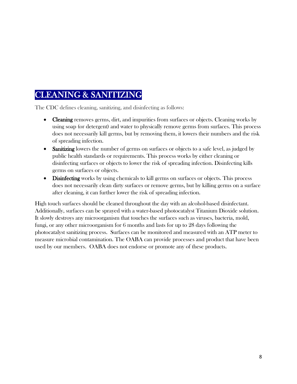#### CLEANING & SANITIZING

The CDC defines cleaning, sanitizing, and disinfecting as follows:

- Cleaning removes germs, dirt, and impurities from surfaces or objects. Cleaning works by using soap (or detergent) and water to physically remove germs from surfaces. This process does not necessarily kill germs, but by removing them, it lowers their numbers and the risk of spreading infection.
- Sanitizing lowers the number of germs on surfaces or objects to a safe level, as judged by public health standards or requirements. This process works by either cleaning or disinfecting surfaces or objects to lower the risk of spreading infection. Disinfecting kills germs on surfaces or objects.
- Disinfecting works by using chemicals to kill germs on surfaces or objects. This process does not necessarily clean dirty surfaces or remove germs, but by killing germs on a surface after cleaning, it can further lower the risk of spreading infection.

High touch surfaces should be cleaned throughout the day with an alcohol-based disinfectant. Additionally, surfaces can be sprayed with a water-based photocatalyst Titanium Dioxide solution. It slowly destroys any microorganism that touches the surfaces such as viruses, bacteria, mold, fungi, or any other microorganism for 6 months and lasts for up to 28 days following the photocatalyst sanitizing process. Surfaces can be monitored and measured with an ATP meter to measure microbial contamination. The OABA can provide processes and product that have been used by our members. OABA does not endorse or promote any of these products.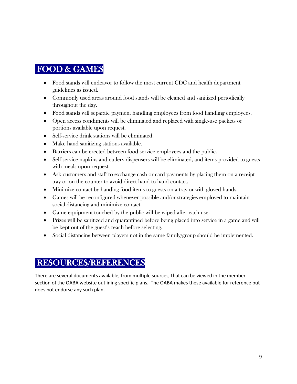#### FOOD & GAMES

- Food stands will endeavor to follow the most current CDC and health department guidelines as issued.
- Commonly used areas around food stands will be cleaned and sanitized periodically throughout the day.
- Food stands will separate payment handling employees from food handling employees.
- Open access condiments will be eliminated and replaced with single-use packets or portions available upon request.
- Self-service drink stations will be eliminated.
- Make hand sanitizing stations available.
- Barriers can be erected between food service employees and the public.
- Self-service napkins and cutlery dispensers will be eliminated, and items provided to guests with meals upon request.
- Ask customers and staff to exchange cash or card payments by placing them on a receipt tray or on the counter to avoid direct hand-to-hand contact.
- Minimize contact by handing food items to guests on a tray or with gloved hands.
- Games will be reconfigured whenever possible and/or strategies employed to maintain social distancing and minimize contact.
- Game equipment touched by the public will be wiped after each use.
- Prizes will be sanitized and quarantined before being placed into service in a game and will be kept out of the guest's reach before selecting.
- Social distancing between players not in the same family/group should be implemented.

#### RESOURCES/REFERENCES

There are several documents available, from multiple sources, that can be viewed in the member section of the OABA website outlining specific plans. The OABA makes these available for reference but does not endorse any such plan.